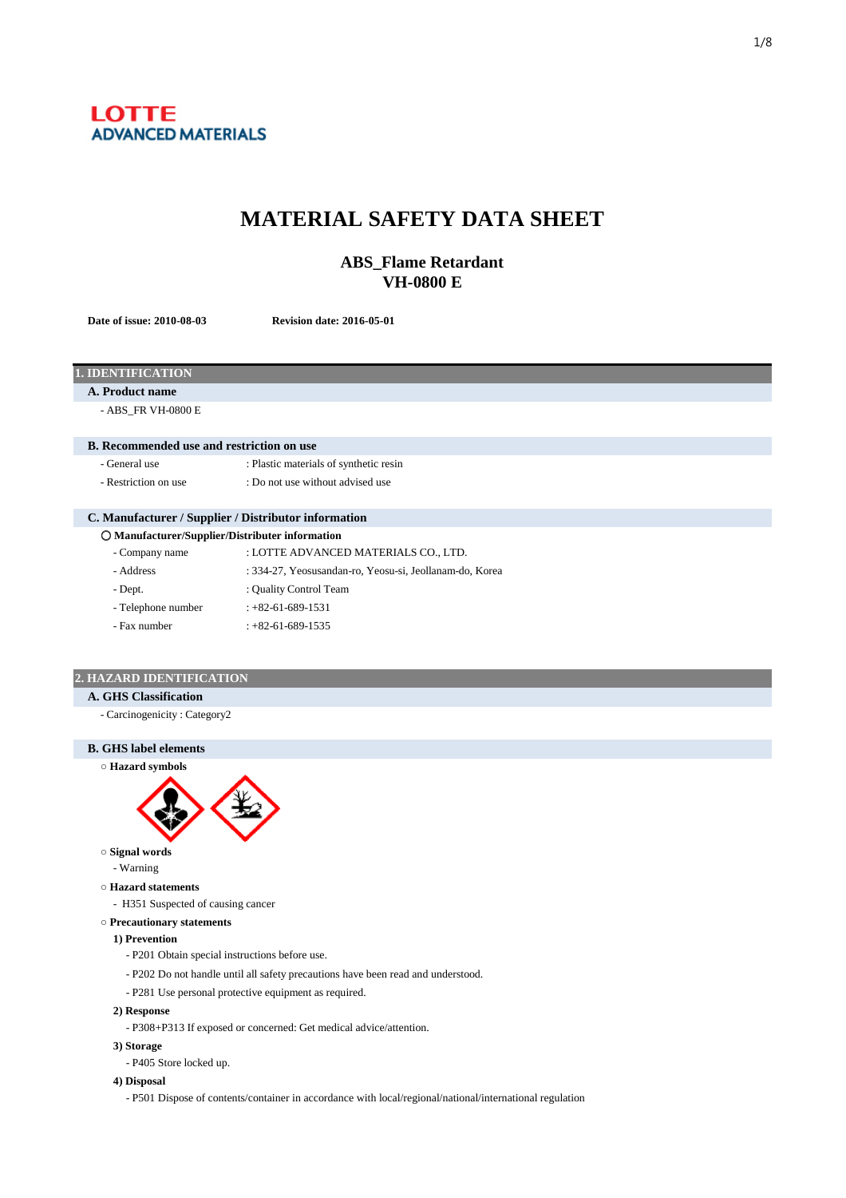

# **MATERIAL SAFETY DATA SHEET**

## **ABS\_Flame Retardant VH-0800 E**

**Date of issue: 2010-08-03 Revision date: 2016-05-01**

| <b>1. IDENTIFICATION</b>                             |                                                         |  |  |
|------------------------------------------------------|---------------------------------------------------------|--|--|
| A. Product name                                      |                                                         |  |  |
| - ABS_FR VH-0800 E                                   |                                                         |  |  |
|                                                      |                                                         |  |  |
| <b>B.</b> Recommended use and restriction on use     |                                                         |  |  |
| - General use                                        | : Plastic materials of synthetic resin                  |  |  |
| - Restriction on use                                 | : Do not use without advised use                        |  |  |
|                                                      |                                                         |  |  |
| C. Manufacturer / Supplier / Distributor information |                                                         |  |  |
| O Manufacturer/Supplier/Distributer information      |                                                         |  |  |
| - Company name                                       | : LOTTE ADVANCED MATERIALS CO., LTD.                    |  |  |
| - Address                                            | : 334-27, Yeosusandan-ro, Yeosu-si, Jeollanam-do, Korea |  |  |
| - Dept.                                              | : Quality Control Team                                  |  |  |
| - Telephone number                                   | $: +82 - 61 - 689 - 1531$                               |  |  |
| - Fax number                                         | $: +82 - 61 - 689 - 1535$                               |  |  |
|                                                      |                                                         |  |  |

## **2. HAZARD IDENTIFICATION**

- **A. GHS Classification**
	- Carcinogenicity : Category2





**○ Signal words**

- Warning

- **○ Hazard statements**
	- H351 Suspected of causing cancer
- **○ Precautionary statements**

#### **1) Prevention**

- P201 Obtain special instructions before use.
- P202 Do not handle until all safety precautions have been read and understood.
- P281 Use personal protective equipment as required.

## **2) Response**

- P308+P313 If exposed or concerned: Get medical advice/attention.
- **3) Storage**
	- P405 Store locked up.

## **4) Disposal**

- P501 Dispose of contents/container in accordance with local/regional/national/international regulation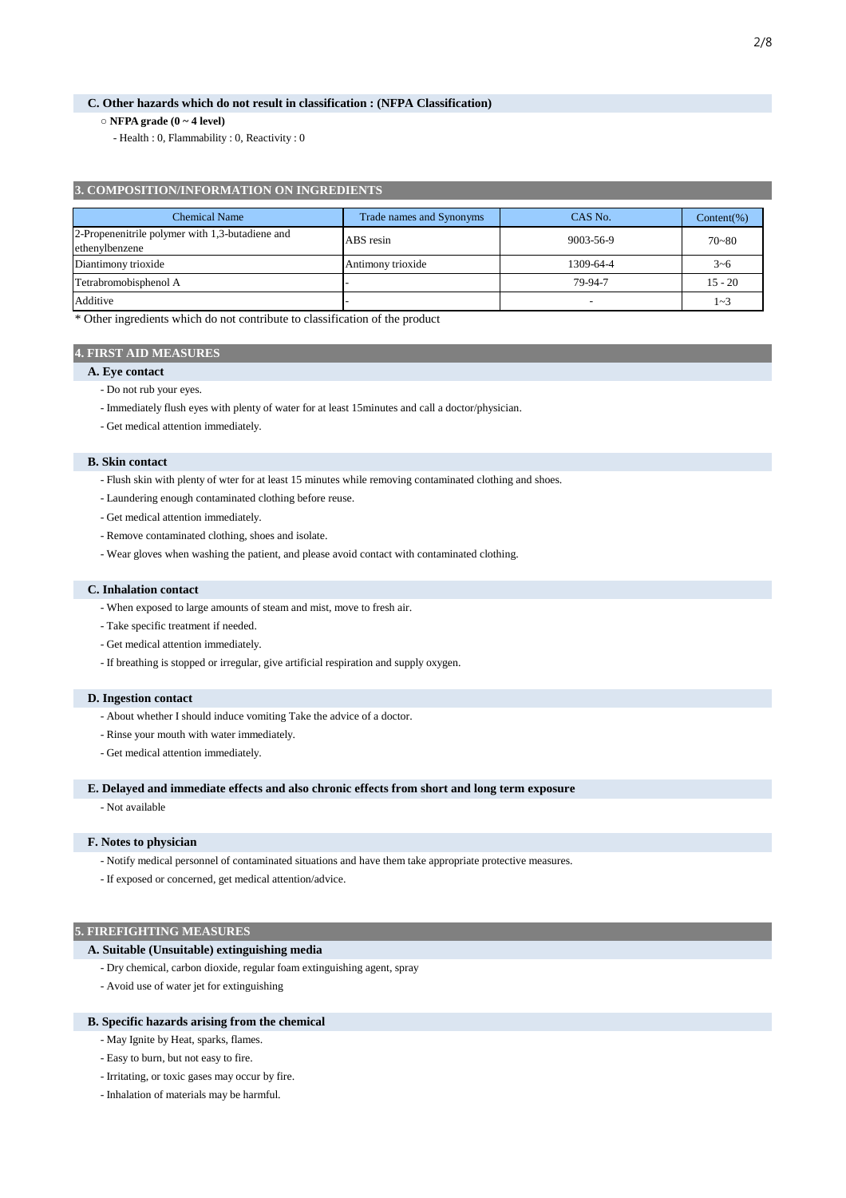## **C. Other hazards which do not result in classification : (NFPA Classification)**

## **○ NFPA grade (0 ~ 4 level)**

- Health : 0, Flammability : 0, Reactivity : 0

## **3. COMPOSITION/INFORMATION ON INGREDIENTS**

| <b>Chemical Name</b>                                              | Trade names and Synonyms | CAS No.   | Content(%) |
|-------------------------------------------------------------------|--------------------------|-----------|------------|
| 2-Propenenitrile polymer with 1,3-butadiene and<br>ethenylbenzene | ABS resin                | 9003-56-9 | $70 - 80$  |
| Diantimony trioxide                                               | Antimony trioxide        | 1309-64-4 | $3 - 6$    |
| Tetrabromobisphenol A                                             |                          | 79-94-7   | $15 - 20$  |
| Additive                                                          |                          |           | $1 - 3$    |

\* Other ingredients which do not contribute to classification of the product

## **4. FIRST AID MEASURES**

## **A. Eye contact**

- Do not rub your eyes.
- Immediately flush eyes with plenty of water for at least 15minutes and call a doctor/physician.
- Get medical attention immediately.

## **B. Skin contact**

- Flush skin with plenty of wter for at least 15 minutes while removing contaminated clothing and shoes.
- Laundering enough contaminated clothing before reuse.
- Get medical attention immediately.
- Remove contaminated clothing, shoes and isolate.
- Wear gloves when washing the patient, and please avoid contact with contaminated clothing.

#### **C. Inhalation contact**

- When exposed to large amounts of steam and mist, move to fresh air.
- Take specific treatment if needed.
- Get medical attention immediately.
- If breathing is stopped or irregular, give artificial respiration and supply oxygen.

#### **D. Ingestion contact**

- About whether I should induce vomiting Take the advice of a doctor.
- Rinse your mouth with water immediately.
- Get medical attention immediately.

#### **E. Delayed and immediate effects and also chronic effects from short and long term exposure**

- Not available

#### **F. Notes to physician**

- Notify medical personnel of contaminated situations and have them take appropriate protective measures.
- If exposed or concerned, get medical attention/advice.

## **5. FIREFIGHTING MEASURES**

#### **A. Suitable (Unsuitable) extinguishing media**

- Dry chemical, carbon dioxide, regular foam extinguishing agent, spray
- Avoid use of water jet for extinguishing

#### **B. Specific hazards arising from the chemical**

- May Ignite by Heat, sparks, flames.
- Easy to burn, but not easy to fire.
- Irritating, or toxic gases may occur by fire.
- Inhalation of materials may be harmful.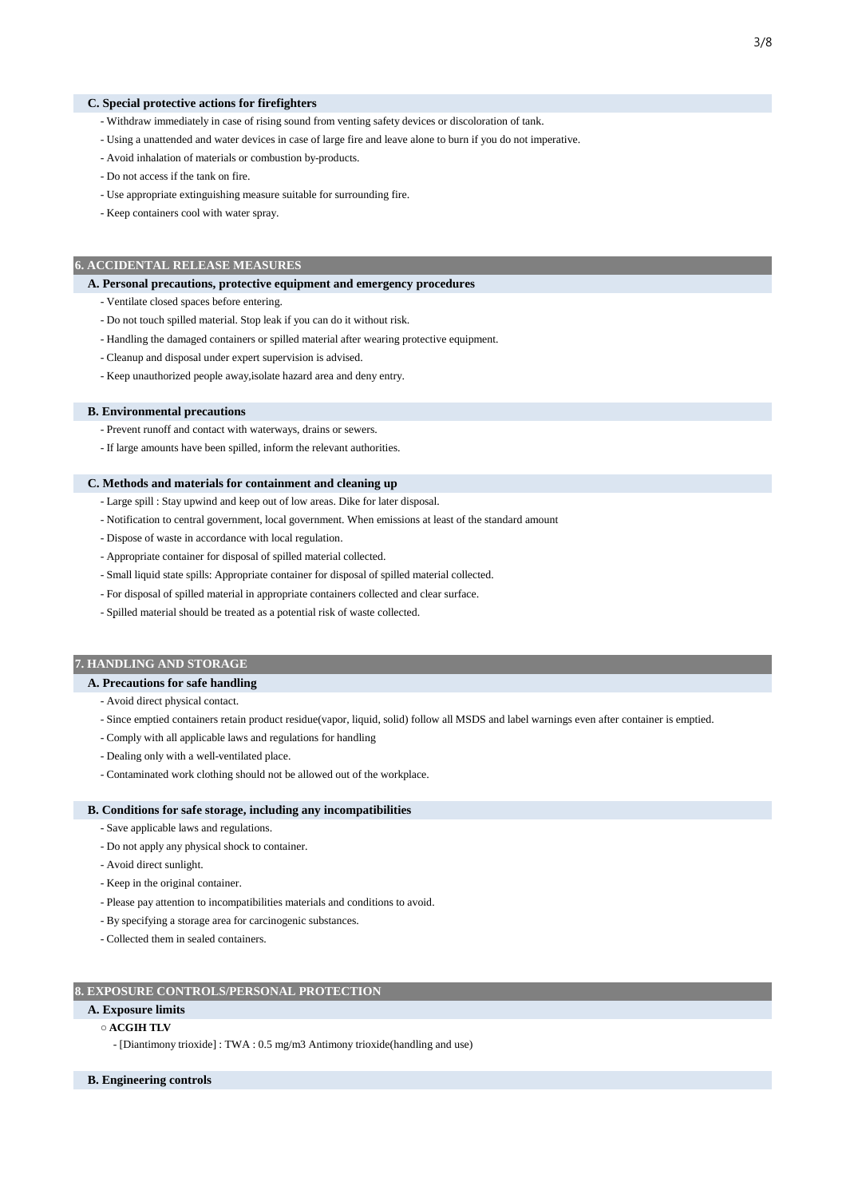#### **C. Special protective actions for firefighters**

- Withdraw immediately in case of rising sound from venting safety devices or discoloration of tank.
- Using a unattended and water devices in case of large fire and leave alone to burn if you do not imperative.
- Avoid inhalation of materials or combustion by-products.
- Do not access if the tank on fire.
- Use appropriate extinguishing measure suitable for surrounding fire.
- Keep containers cool with water spray.

## **6. ACCIDENTAL RELEASE MEASURES**

#### **A. Personal precautions, protective equipment and emergency procedures**

- Ventilate closed spaces before entering.
- Do not touch spilled material. Stop leak if you can do it without risk.
- Handling the damaged containers or spilled material after wearing protective equipment.
- Cleanup and disposal under expert supervision is advised.
- Keep unauthorized people away,isolate hazard area and deny entry.

#### **B. Environmental precautions**

- Prevent runoff and contact with waterways, drains or sewers.
- If large amounts have been spilled, inform the relevant authorities.

#### **C. Methods and materials for containment and cleaning up**

- Large spill : Stay upwind and keep out of low areas. Dike for later disposal.
- Notification to central government, local government. When emissions at least of the standard amount
- Dispose of waste in accordance with local regulation.
- Appropriate container for disposal of spilled material collected.
- Small liquid state spills: Appropriate container for disposal of spilled material collected.
- For disposal of spilled material in appropriate containers collected and clear surface.
- Spilled material should be treated as a potential risk of waste collected.

## **7. HANDLING AND STORAGE**

#### **A. Precautions for safe handling**

- Avoid direct physical contact.
- Since emptied containers retain product residue(vapor, liquid, solid) follow all MSDS and label warnings even after container is emptied.
- Comply with all applicable laws and regulations for handling
- Dealing only with a well-ventilated place.
- Contaminated work clothing should not be allowed out of the workplace.

#### **B. Conditions for safe storage, including any incompatibilities**

- Save applicable laws and regulations.
- Do not apply any physical shock to container.
- Avoid direct sunlight.
- Keep in the original container.
- Please pay attention to incompatibilities materials and conditions to avoid.
- By specifying a storage area for carcinogenic substances.
- Collected them in sealed containers.

## **8. EXPOSURE CONTROLS/PERSONAL PROTECTION**

## **A. Exposure limits**

## **○ ACGIH TLV**

- [Diantimony trioxide] : TWA : 0.5 mg/m3 Antimony trioxide(handling and use)

## **B. Engineering controls**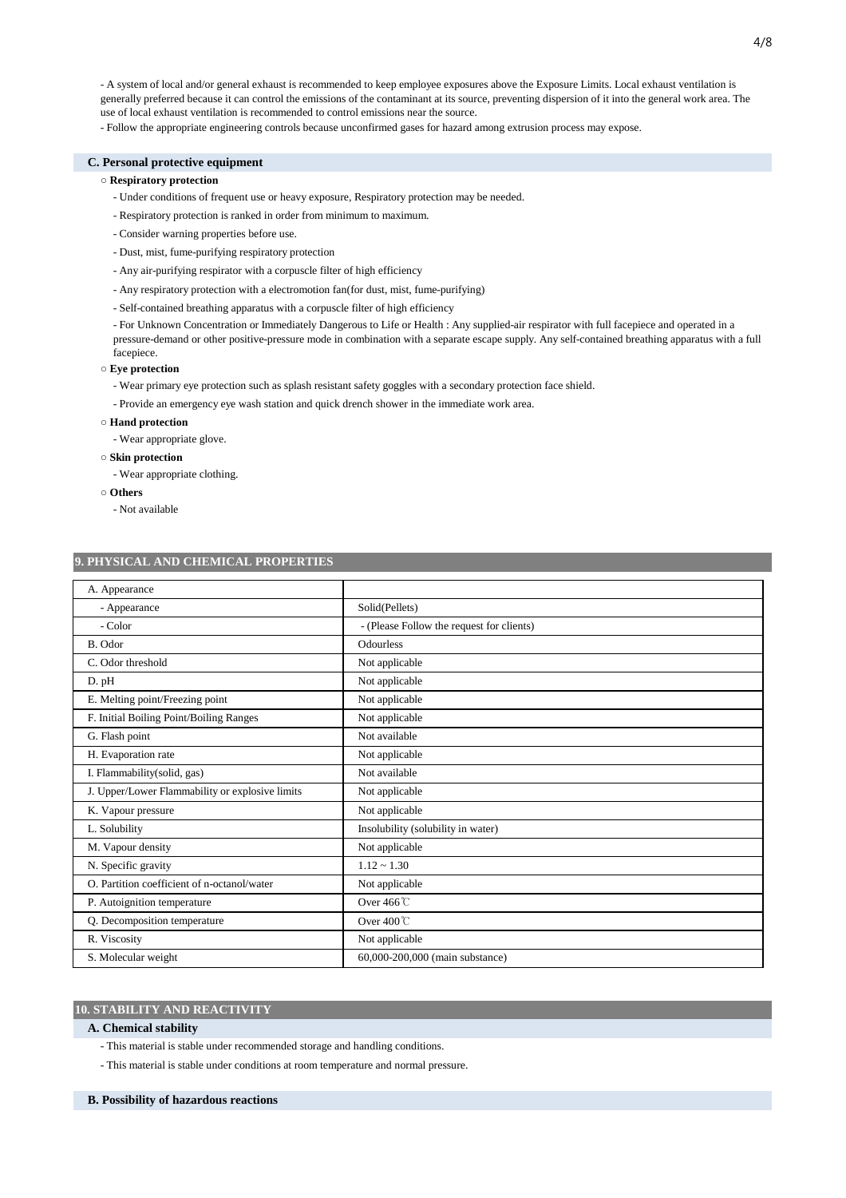- A system of local and/or general exhaust is recommended to keep employee exposures above the Exposure Limits. Local exhaust ventilation is generally preferred because it can control the emissions of the contaminant at its source, preventing dispersion of it into the general work area. The use of local exhaust ventilation is recommended to control emissions near the source.

- Follow the appropriate engineering controls because unconfirmed gases for hazard among extrusion process may expose.

## **C. Personal protective equipment**

## **○ Respiratory protection**

- Under conditions of frequent use or heavy exposure, Respiratory protection may be needed.
- Respiratory protection is ranked in order from minimum to maximum.
- Consider warning properties before use.
- Dust, mist, fume-purifying respiratory protection
- Any air-purifying respirator with a corpuscle filter of high efficiency
- Any respiratory protection with a electromotion fan(for dust, mist, fume-purifying)
- Self-contained breathing apparatus with a corpuscle filter of high efficiency

- For Unknown Concentration or Immediately Dangerous to Life or Health : Any supplied-air respirator with full facepiece and operated in a pressure-demand or other positive-pressure mode in combination with a separate escape supply. Any self-contained breathing apparatus with a full facepiece.

#### **○ Eye protection**

- Wear primary eye protection such as splash resistant safety goggles with a secondary protection face shield.
- Provide an emergency eye wash station and quick drench shower in the immediate work area.

#### **○ Hand protection**

- Wear appropriate glove.

#### **○ Skin protection**

- Wear appropriate clothing.

- **○ Others**
	- Not available

#### **9. PHYSICAL AND CHEMICAL PROPERTIES**

| A. Appearance                                   |                                           |
|-------------------------------------------------|-------------------------------------------|
| - Appearance                                    | Solid(Pellets)                            |
| - Color                                         | - (Please Follow the request for clients) |
| B. Odor                                         | <b>Odourless</b>                          |
| C. Odor threshold                               | Not applicable                            |
| D. pH                                           | Not applicable                            |
| E. Melting point/Freezing point                 | Not applicable                            |
| F. Initial Boiling Point/Boiling Ranges         | Not applicable                            |
| G. Flash point                                  | Not available                             |
| H. Evaporation rate                             | Not applicable                            |
| I. Flammability(solid, gas)                     | Not available                             |
| J. Upper/Lower Flammability or explosive limits | Not applicable                            |
| K. Vapour pressure                              | Not applicable                            |
| L. Solubility                                   | Insolubility (solubility in water)        |
| M. Vapour density                               | Not applicable                            |
| N. Specific gravity                             | $1.12 \sim 1.30$                          |
| O. Partition coefficient of n-octanol/water     | Not applicable                            |
| P. Autoignition temperature                     | Over $466^{\circ}$ C                      |
| Q. Decomposition temperature                    | Over 400℃                                 |
| R. Viscosity                                    | Not applicable                            |
| S. Molecular weight                             | 60,000-200,000 (main substance)           |

## **10. STABILITY AND REACTIVITY**

#### **A. Chemical stability**

- This material is stable under recommended storage and handling conditions.
- This material is stable under conditions at room temperature and normal pressure.

#### **B. Possibility of hazardous reactions**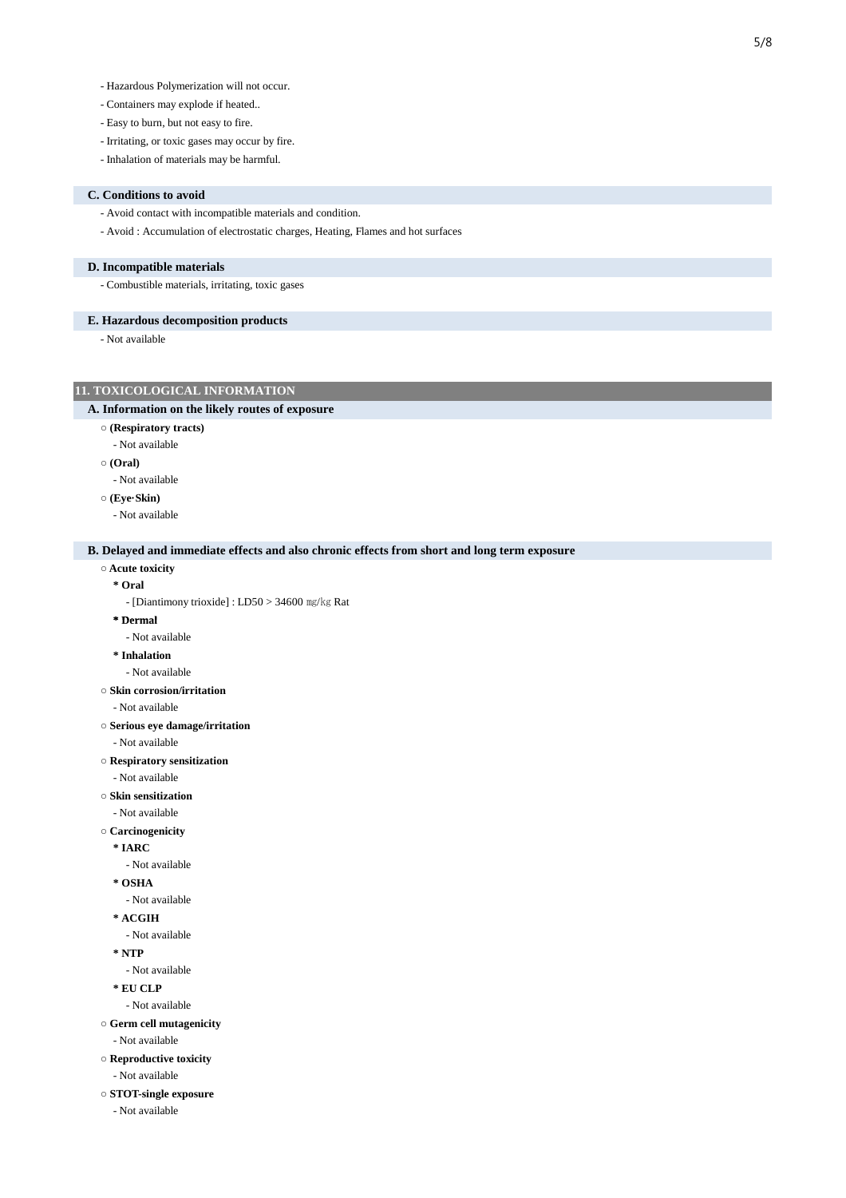- Containers may explode if heated..
- Easy to burn, but not easy to fire.
- Irritating, or toxic gases may occur by fire.
- Inhalation of materials may be harmful.

#### **C. Conditions to avoid**

- Avoid contact with incompatible materials and condition.
- Avoid : Accumulation of electrostatic charges, Heating, Flames and hot surfaces

#### **D. Incompatible materials**

- Combustible materials, irritating, toxic gases

#### **E. Hazardous decomposition products**

- Not available

## **11. TOXICOLOGICAL INFORMATION**

#### **A. Information on the likely routes of exposure**

- **○ (Respiratory tracts)**
- Not available
- **○ (Oral)**
	- Not available
- **○ (Eye·Skin)**
- Not available

#### **B. Delayed and immediate effects and also chronic effects from short and long term exposure**

**○ Acute toxicity**

#### **\* Oral**

- [Diantimony trioxide] : LD50 > 34600 ㎎/㎏ Rat
- **\* Dermal**
- Not available
- **\* Inhalation**
- Not available
- **○ Skin corrosion/irritation**
	- Not available
- **○ Serious eye damage/irritation**
	- Not available
- **○ Respiratory sensitization**

- Not available

- **○ Skin sensitization**
- Not available
- **○ Carcinogenicity**
	- **\* IARC**
		- Not available
	- **\* OSHA**
	- Not available
	- **\* ACGIH**
		- Not available
	- **\* NTP**
	- Not available
	- **\* EU CLP**
	- Not available
- **○ Germ cell mutagenicity**
	- Not available
- **○ Reproductive toxicity**
	- Not available
- **○ STOT-single exposure**
	- Not available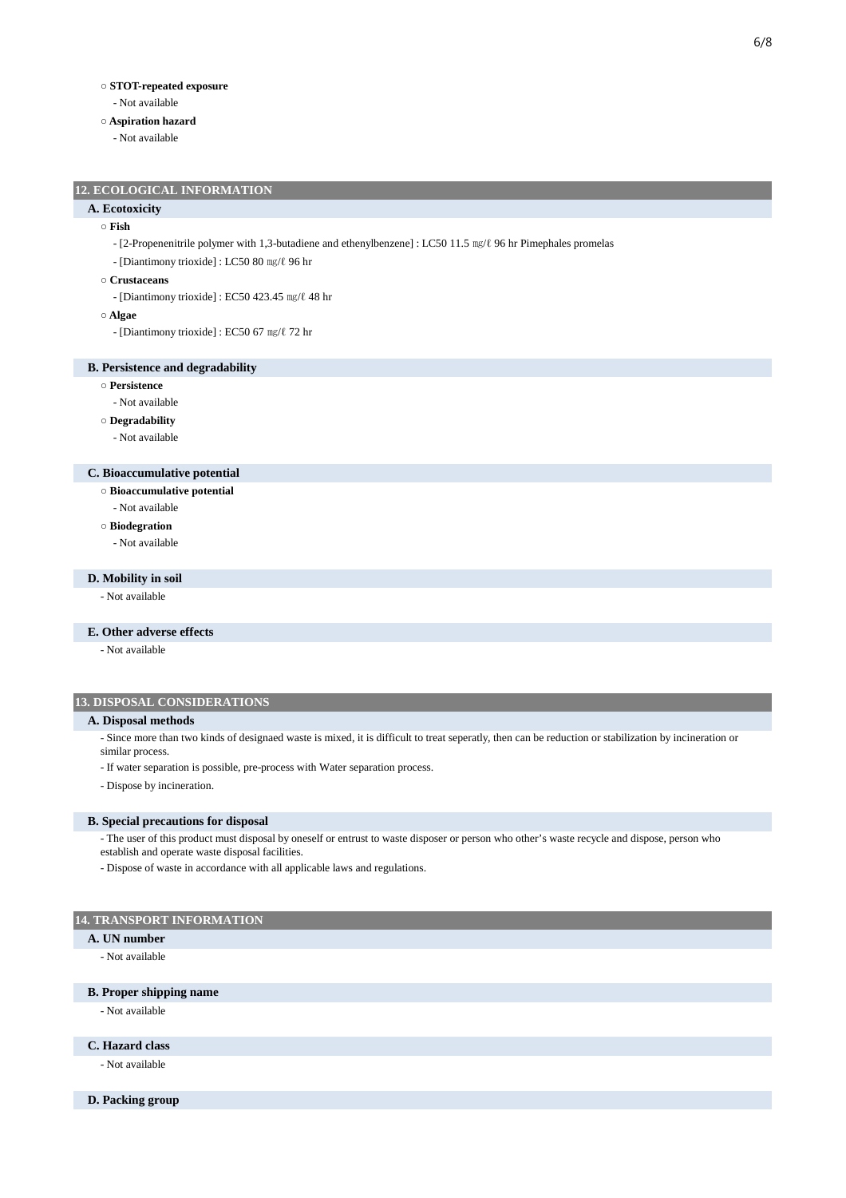## **○ STOT-repeated exposure**

- Not available
- **○ Aspiration hazard**
	- Not available

## **12. ECOLOGICAL INFORMATION**

## **A. Ecotoxicity**

#### **○ Fish**

- [2-Propenenitrile polymer with 1,3-butadiene and ethenylbenzene] : LC50 11.5 ㎎/ℓ 96 hr Pimephales promelas
- [Diantimony trioxide] : LC50 80 ㎎/ℓ 96 hr

#### **○ Crustaceans**

- [Diantimony trioxide] : EC50 423.45 ㎎/ℓ 48 hr
- **○ Algae**
	- [Diantimony trioxide] : EC50 67 ㎎/ℓ 72 hr

#### **B. Persistence and degradability**

- **○ Persistence**
	- Not available
- **○ Degradability**
	- Not available

## **C. Bioaccumulative potential**

- **○ Bioaccumulative potential**
- Not available
- **○ Biodegration**
	- Not available

## **D. Mobility in soil**

- Not available

#### **E. Other adverse effects**

- Not available

## **13. DISPOSAL CONSIDERATIONS**

#### **A. Disposal methods**

- Since more than two kinds of designaed waste is mixed, it is difficult to treat seperatly, then can be reduction or stabilization by incineration or similar process.

- If water separation is possible, pre-process with Water separation process.
- Dispose by incineration.

#### **B. Special precautions for disposal**

- The user of this product must disposal by oneself or entrust to waste disposer or person who other's waste recycle and dispose, person who

- establish and operate waste disposal facilities.
- Dispose of waste in accordance with all applicable laws and regulations.

## **14. TRANSPORT INFORMATION**

- **A. UN number**
	- Not available

## **B. Proper shipping name**

- Not available

## **C. Hazard class**

- Not available
- **D. Packing group**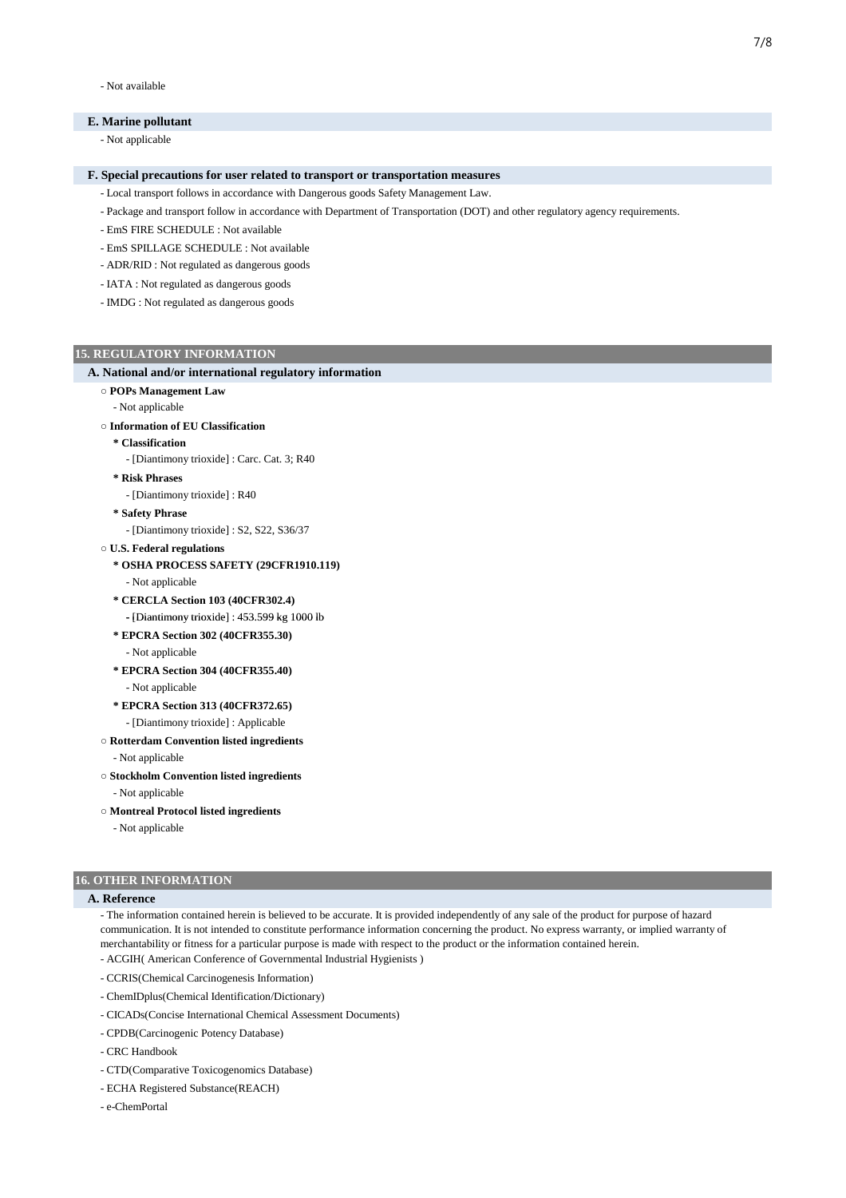- Not available

## **E. Marine pollutant**

- Not applicable

#### **F. Special precautions for user related to transport or transportation measures**

- Local transport follows in accordance with Dangerous goods Safety Management Law.

- Package and transport follow in accordance with Department of Transportation (DOT) and other regulatory agency requirements.
- EmS FIRE SCHEDULE : Not available
- EmS SPILLAGE SCHEDULE : Not available
- ADR/RID : Not regulated as dangerous goods
- IATA : Not regulated as dangerous goods
- IMDG : Not regulated as dangerous goods

#### **15. REGULATORY INFORMATION**

#### **A. National and/or international regulatory information**

- **○ POPs Management Law**
	- Not applicable

#### **○ Information of EU Classification**

- **\* Classification**
	- [Diantimony trioxide] : Carc. Cat. 3; R40
- **\* Risk Phrases**
- [Diantimony trioxide] : R40
- **\* Safety Phrase**
	- [Diantimony trioxide] : S2, S22, S36/37
- **○ U.S. Federal regulations**

## **\* OSHA PROCESS SAFETY (29CFR1910.119)**

- Not applicable
- **\* CERCLA Section 103 (40CFR302.4)**
- [Diantimony trioxide] : 453.599 kg 1000 lb
- **\* EPCRA Section 302 (40CFR355.30)** - Not applicable
- **\* EPCRA Section 304 (40CFR355.40)**
- Not applicable
- **\* EPCRA Section 313 (40CFR372.65)**
- [Diantimony trioxide] : Applicable
- **○ Rotterdam Convention listed ingredients**

#### - Not applicable

- **○ Stockholm Convention listed ingredients**
- Not applicable
- **○ Montreal Protocol listed ingredients**
	- Not applicable

## **16. OTHER INFORMATION**

## **A. Reference**

- The information contained herein is believed to be accurate. It is provided independently of any sale of the product for purpose of hazard communication. It is not intended to constitute performance information concerning the product. No express warranty, or implied warranty of merchantability or fitness for a particular purpose is made with respect to the product or the information contained herein.

- ACGIH( American Conference of Governmental Industrial Hygienists )
- CCRIS(Chemical Carcinogenesis Information)
- ChemIDplus(Chemical Identification/Dictionary)
- CICADs(Concise International Chemical Assessment Documents)
- CPDB(Carcinogenic Potency Database)
- CRC Handbook
- CTD(Comparative Toxicogenomics Database)
- ECHA Registered Substance(REACH)
- e-ChemPortal